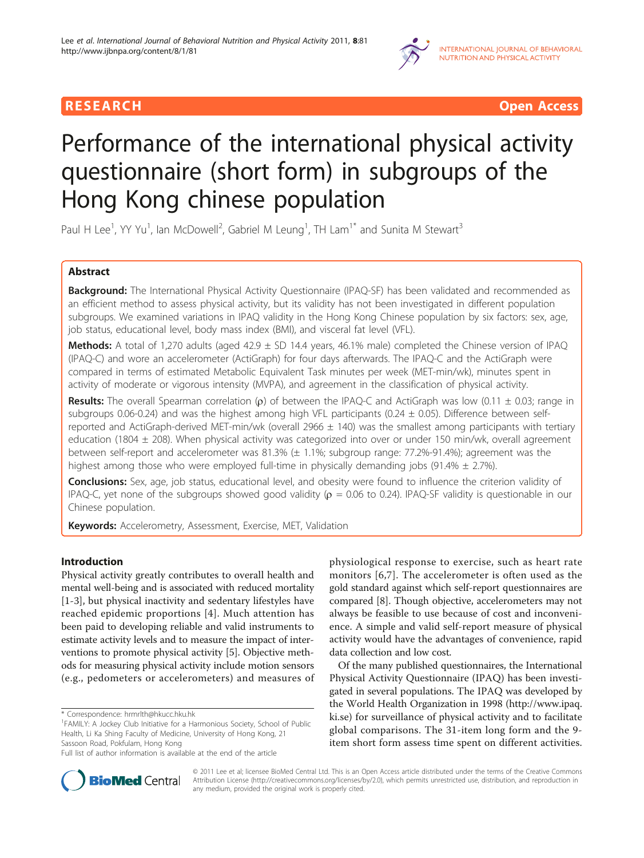

**RESEARCH Open Access** 

# Performance of the international physical activity questionnaire (short form) in subgroups of the Hong Kong chinese population

Paul H Lee<sup>1</sup>, YY Yu<sup>1</sup>, Ian McDowell<sup>2</sup>, Gabriel M Leung<sup>1</sup>, TH Lam<sup>1\*</sup> and Sunita M Stewart<sup>3</sup>

# Abstract

**Background:** The International Physical Activity Questionnaire (IPAQ-SF) has been validated and recommended as an efficient method to assess physical activity, but its validity has not been investigated in different population subgroups. We examined variations in IPAQ validity in the Hong Kong Chinese population by six factors: sex, age, job status, educational level, body mass index (BMI), and visceral fat level (VFL).

Methods: A total of 1,270 adults (aged 42.9 ± SD 14.4 years, 46.1% male) completed the Chinese version of IPAQ (IPAQ-C) and wore an accelerometer (ActiGraph) for four days afterwards. The IPAQ-C and the ActiGraph were compared in terms of estimated Metabolic Equivalent Task minutes per week (MET-min/wk), minutes spent in activity of moderate or vigorous intensity (MVPA), and agreement in the classification of physical activity.

Results: The overall Spearman correlation ( $\rho$ ) of between the IPAQ-C and ActiGraph was low (0.11  $\pm$  0.03; range in subgroups 0.06-0.24) and was the highest among high VFL participants (0.24  $\pm$  0.05). Difference between selfreported and ActiGraph-derived MET-min/wk (overall 2966  $\pm$  140) was the smallest among participants with tertiary education (1804 ± 208). When physical activity was categorized into over or under 150 min/wk, overall agreement between self-report and accelerometer was 81.3% (± 1.1%; subgroup range: 77.2%-91.4%); agreement was the highest among those who were employed full-time in physically demanding jobs (91.4% ± 2.7%).

Conclusions: Sex, age, job status, educational level, and obesity were found to influence the criterion validity of IPAQ-C, yet none of the subgroups showed good validity ( $\rho = 0.06$  to 0.24). IPAQ-SF validity is questionable in our Chinese population.

**Keywords:** Accelerometry, Assessment, Exercise, MET, Validation

# Introduction

Physical activity greatly contributes to overall health and mental well-being and is associated with reduced mortality [[1-3](#page-8-0)], but physical inactivity and sedentary lifestyles have reached epidemic proportions [\[4](#page-8-0)]. Much attention has been paid to developing reliable and valid instruments to estimate activity levels and to measure the impact of interventions to promote physical activity [[5\]](#page-8-0). Objective methods for measuring physical activity include motion sensors (e.g., pedometers or accelerometers) and measures of

\* Correspondence: [hrmrlth@hkucc.hku.hk](mailto:hrmrlth@hkucc.hku.hk)

physiological response to exercise, such as heart rate monitors [[6](#page-8-0),[7\]](#page-8-0). The accelerometer is often used as the gold standard against which self-report questionnaires are compared [\[8](#page-8-0)]. Though objective, accelerometers may not always be feasible to use because of cost and inconvenience. A simple and valid self-report measure of physical activity would have the advantages of convenience, rapid data collection and low cost.

Of the many published questionnaires, the International Physical Activity Questionnaire (IPAQ) has been investigated in several populations. The IPAQ was developed by the World Health Organization in 1998 ([http://www.ipaq.](http://www.ipaq.ki.se) [ki.se\)](http://www.ipaq.ki.se) for surveillance of physical activity and to facilitate global comparisons. The 31-item long form and the 9 item short form assess time spent on different activities.



© 2011 Lee et al; licensee BioMed Central Ltd. This is an Open Access article distributed under the terms of the Creative Commons Attribution License [\(http://creativecommons.org/licenses/by/2.0](http://creativecommons.org/licenses/by/2.0)), which permits unrestricted use, distribution, and reproduction in any medium, provided the original work is properly cited.

<sup>&</sup>lt;sup>1</sup> FAMILY: A Jockey Club Initiative for a Harmonious Society, School of Public Health, Li Ka Shing Faculty of Medicine, University of Hong Kong, 21 Sassoon Road, Pokfulam, Hong Kong

Full list of author information is available at the end of the article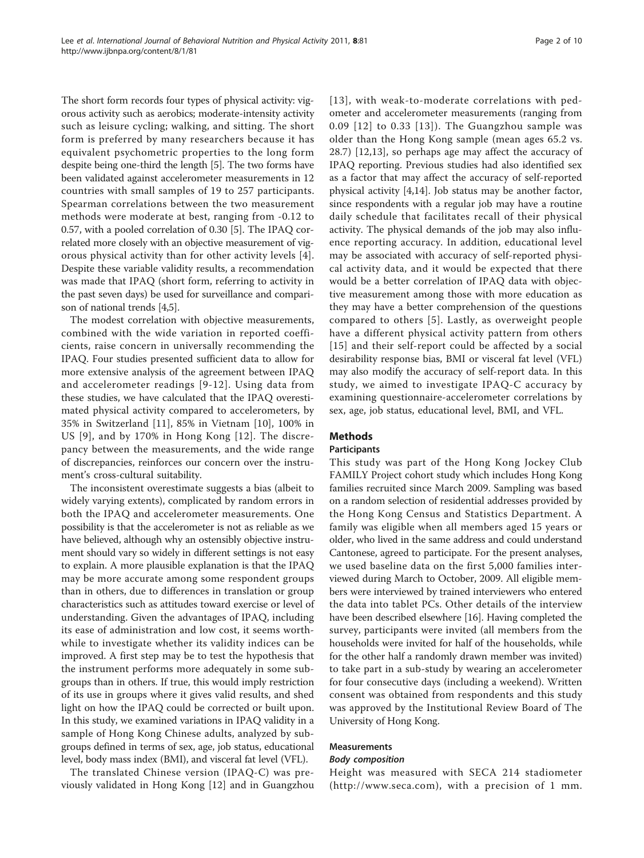The short form records four types of physical activity: vigorous activity such as aerobics; moderate-intensity activity such as leisure cycling; walking, and sitting. The short form is preferred by many researchers because it has equivalent psychometric properties to the long form despite being one-third the length [[5\]](#page-8-0). The two forms have been validated against accelerometer measurements in 12 countries with small samples of 19 to 257 participants. Spearman correlations between the two measurement methods were moderate at best, ranging from -0.12 to 0.57, with a pooled correlation of 0.30 [\[5](#page-8-0)]. The IPAQ correlated more closely with an objective measurement of vigorous physical activity than for other activity levels [[4](#page-8-0)]. Despite these variable validity results, a recommendation was made that IPAQ (short form, referring to activity in the past seven days) be used for surveillance and comparison of national trends [\[4,5\]](#page-8-0).

The modest correlation with objective measurements, combined with the wide variation in reported coefficients, raise concern in universally recommending the IPAQ. Four studies presented sufficient data to allow for more extensive analysis of the agreement between IPAQ and accelerometer readings [[9-12\]](#page-8-0). Using data from these studies, we have calculated that the IPAQ overestimated physical activity compared to accelerometers, by 35% in Switzerland [\[11](#page-8-0)], 85% in Vietnam [[10](#page-8-0)], 100% in US [\[9\]](#page-8-0), and by 170% in Hong Kong [[12\]](#page-8-0). The discrepancy between the measurements, and the wide range of discrepancies, reinforces our concern over the instrument's cross-cultural suitability.

The inconsistent overestimate suggests a bias (albeit to widely varying extents), complicated by random errors in both the IPAQ and accelerometer measurements. One possibility is that the accelerometer is not as reliable as we have believed, although why an ostensibly objective instrument should vary so widely in different settings is not easy to explain. A more plausible explanation is that the IPAQ may be more accurate among some respondent groups than in others, due to differences in translation or group characteristics such as attitudes toward exercise or level of understanding. Given the advantages of IPAQ, including its ease of administration and low cost, it seems worthwhile to investigate whether its validity indices can be improved. A first step may be to test the hypothesis that the instrument performs more adequately in some subgroups than in others. If true, this would imply restriction of its use in groups where it gives valid results, and shed light on how the IPAQ could be corrected or built upon. In this study, we examined variations in IPAQ validity in a sample of Hong Kong Chinese adults, analyzed by subgroups defined in terms of sex, age, job status, educational level, body mass index (BMI), and visceral fat level (VFL).

The translated Chinese version (IPAQ-C) was previously validated in Hong Kong [\[12](#page-8-0)] and in Guangzhou [[13](#page-8-0)], with weak-to-moderate correlations with pedometer and accelerometer measurements (ranging from 0.09 [[12](#page-8-0)] to 0.33 [[13](#page-8-0)]). The Guangzhou sample was older than the Hong Kong sample (mean ages 65.2 vs. 28.7) [[12,13\]](#page-8-0), so perhaps age may affect the accuracy of IPAQ reporting. Previous studies had also identified sex as a factor that may affect the accuracy of self-reported physical activity [\[4,14\]](#page-8-0). Job status may be another factor, since respondents with a regular job may have a routine daily schedule that facilitates recall of their physical activity. The physical demands of the job may also influence reporting accuracy. In addition, educational level may be associated with accuracy of self-reported physical activity data, and it would be expected that there would be a better correlation of IPAQ data with objective measurement among those with more education as they may have a better comprehension of the questions compared to others [[5](#page-8-0)]. Lastly, as overweight people have a different physical activity pattern from others [[15](#page-8-0)] and their self-report could be affected by a social desirability response bias, BMI or visceral fat level (VFL) may also modify the accuracy of self-report data. In this study, we aimed to investigate IPAQ-C accuracy by examining questionnaire-accelerometer correlations by sex, age, job status, educational level, BMI, and VFL.

# Methods

## Participants

This study was part of the Hong Kong Jockey Club FAMILY Project cohort study which includes Hong Kong families recruited since March 2009. Sampling was based on a random selection of residential addresses provided by the Hong Kong Census and Statistics Department. A family was eligible when all members aged 15 years or older, who lived in the same address and could understand Cantonese, agreed to participate. For the present analyses, we used baseline data on the first 5,000 families interviewed during March to October, 2009. All eligible members were interviewed by trained interviewers who entered the data into tablet PCs. Other details of the interview have been described elsewhere [[16](#page-8-0)]. Having completed the survey, participants were invited (all members from the households were invited for half of the households, while for the other half a randomly drawn member was invited) to take part in a sub-study by wearing an accelerometer for four consecutive days (including a weekend). Written consent was obtained from respondents and this study was approved by the Institutional Review Board of The University of Hong Kong.

# Measurements

#### Body composition

Height was measured with SECA 214 stadiometer ([http://www.seca.com\)](http://www.seca.com), with a precision of 1 mm.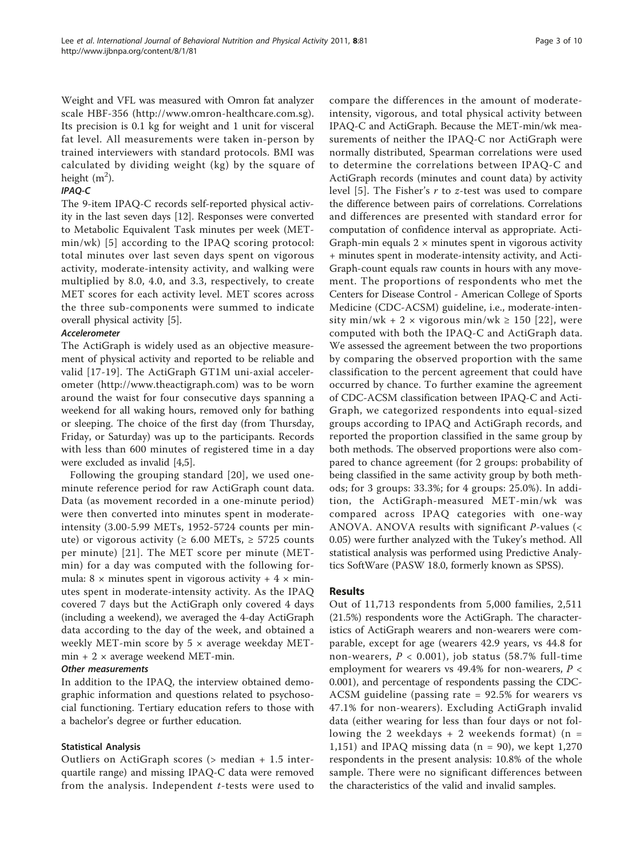Weight and VFL was measured with Omron fat analyzer scale HBF-356 ([http://www.omron-healthcare.com.sg\)](http://www.omron-healthcare.com.sg). Its precision is 0.1 kg for weight and 1 unit for visceral fat level. All measurements were taken in-person by trained interviewers with standard protocols. BMI was calculated by dividing weight (kg) by the square of height  $(m^2)$ .

# IPAQ-C

The 9-item IPAQ-C records self-reported physical activity in the last seven days [\[12](#page-8-0)]. Responses were converted to Metabolic Equivalent Task minutes per week (METmin/wk) [\[5\]](#page-8-0) according to the IPAQ scoring protocol: total minutes over last seven days spent on vigorous activity, moderate-intensity activity, and walking were multiplied by 8.0, 4.0, and 3.3, respectively, to create MET scores for each activity level. MET scores across the three sub-components were summed to indicate overall physical activity [\[5\]](#page-8-0).

## Accelerometer

The ActiGraph is widely used as an objective measurement of physical activity and reported to be reliable and valid [[17-](#page-8-0)[19\]](#page-9-0). The ActiGraph GT1M uni-axial accelerometer [\(http://www.theactigraph.com\)](http://www.theactigraph.com) was to be worn around the waist for four consecutive days spanning a weekend for all waking hours, removed only for bathing or sleeping. The choice of the first day (from Thursday, Friday, or Saturday) was up to the participants. Records with less than 600 minutes of registered time in a day were excluded as invalid [\[4,5](#page-8-0)].

Following the grouping standard [\[20\]](#page-9-0), we used oneminute reference period for raw ActiGraph count data. Data (as movement recorded in a one-minute period) were then converted into minutes spent in moderateintensity (3.00-5.99 METs, 1952-5724 counts per minute) or vigorous activity ( $\geq 6.00$  METs,  $\geq 5725$  counts per minute) [[21](#page-9-0)]. The MET score per minute (METmin) for a day was computed with the following formula:  $8 \times$  minutes spent in vigorous activity +  $4 \times$  minutes spent in moderate-intensity activity. As the IPAQ covered 7 days but the ActiGraph only covered 4 days (including a weekend), we averaged the 4-day ActiGraph data according to the day of the week, and obtained a weekly MET-min score by  $5 \times$  average weekday MET $min + 2 \times average$  weekend MET-min.

## Other measurements

In addition to the IPAQ, the interview obtained demographic information and questions related to psychosocial functioning. Tertiary education refers to those with a bachelor's degree or further education.

#### Statistical Analysis

Outliers on ActiGraph scores (> median + 1.5 interquartile range) and missing IPAQ-C data were removed from the analysis. Independent *t*-tests were used to compare the differences in the amount of moderateintensity, vigorous, and total physical activity between IPAQ-C and ActiGraph. Because the MET-min/wk measurements of neither the IPAQ-C nor ActiGraph were normally distributed, Spearman correlations were used to determine the correlations between IPAQ-C and ActiGraph records (minutes and count data) by activity level [[5](#page-8-0)]. The Fisher's r to z-test was used to compare the difference between pairs of correlations. Correlations and differences are presented with standard error for computation of confidence interval as appropriate. Acti-Graph-min equals  $2 \times$  minutes spent in vigorous activity + minutes spent in moderate-intensity activity, and Acti-Graph-count equals raw counts in hours with any movement. The proportions of respondents who met the Centers for Disease Control - American College of Sports Medicine (CDC-ACSM) guideline, i.e., moderate-intensity min/wk + 2  $\times$  vigorous min/wk  $\ge$  150 [[22\]](#page-9-0), were computed with both the IPAQ-C and ActiGraph data. We assessed the agreement between the two proportions by comparing the observed proportion with the same classification to the percent agreement that could have occurred by chance. To further examine the agreement of CDC-ACSM classification between IPAQ-C and Acti-Graph, we categorized respondents into equal-sized groups according to IPAQ and ActiGraph records, and reported the proportion classified in the same group by both methods. The observed proportions were also compared to chance agreement (for 2 groups: probability of being classified in the same activity group by both methods; for 3 groups: 33.3%; for 4 groups: 25.0%). In addition, the ActiGraph-measured MET-min/wk was compared across IPAQ categories with one-way ANOVA. ANOVA results with significant P-values (< 0.05) were further analyzed with the Tukey's method. All statistical analysis was performed using Predictive Analytics SoftWare (PASW 18.0, formerly known as SPSS).

#### Results

Out of 11,713 respondents from 5,000 families, 2,511 (21.5%) respondents wore the ActiGraph. The characteristics of ActiGraph wearers and non-wearers were comparable, except for age (wearers 42.9 years, vs 44.8 for non-wearers,  $P < 0.001$ ), job status (58.7% full-time employment for wearers vs 49.4% for non-wearers,  $P <$ 0.001), and percentage of respondents passing the CDC-ACSM guideline (passing rate = 92.5% for wearers vs 47.1% for non-wearers). Excluding ActiGraph invalid data (either wearing for less than four days or not following the 2 weekdays  $+ 2$  weekends format) (n = 1,151) and IPAQ missing data ( $n = 90$ ), we kept 1,270 respondents in the present analysis: 10.8% of the whole sample. There were no significant differences between the characteristics of the valid and invalid samples.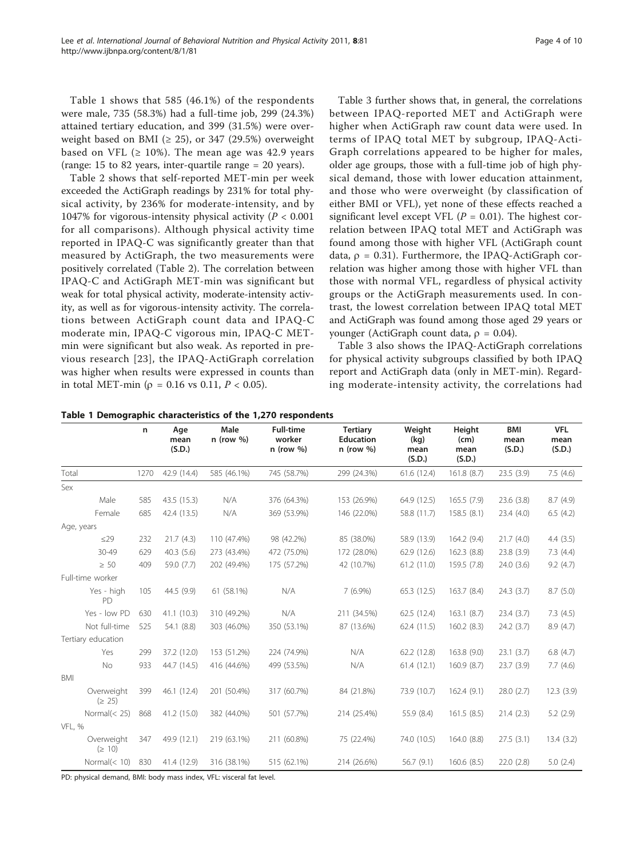Table 1 shows that 585 (46.1%) of the respondents were male, 735 (58.3%) had a full-time job, 299 (24.3%) attained tertiary education, and 399 (31.5%) were overweight based on BMI ( $\geq$  25), or 347 (29.5%) overweight based on VFL  $(≥ 10%)$ . The mean age was 42.9 years (range: 15 to 82 years, inter-quartile range = 20 years).

Table [2](#page-4-0) shows that self-reported MET-min per week exceeded the ActiGraph readings by 231% for total physical activity, by 236% for moderate-intensity, and by 1047% for vigorous-intensity physical activity ( $P < 0.001$ ) for all comparisons). Although physical activity time reported in IPAQ-C was significantly greater than that measured by ActiGraph, the two measurements were positively correlated (Table [2](#page-4-0)). The correlation between IPAQ-C and ActiGraph MET-min was significant but weak for total physical activity, moderate-intensity activity, as well as for vigorous-intensity activity. The correlations between ActiGraph count data and IPAQ-C moderate min, IPAQ-C vigorous min, IPAQ-C METmin were significant but also weak. As reported in previous research [[23\]](#page-9-0), the IPAQ-ActiGraph correlation was higher when results were expressed in counts than in total MET-min ( $\rho = 0.16$  vs 0.11,  $P < 0.05$ ).

Table [3](#page-4-0) further shows that, in general, the correlations between IPAQ-reported MET and ActiGraph were higher when ActiGraph raw count data were used. In terms of IPAQ total MET by subgroup, IPAQ-Acti-Graph correlations appeared to be higher for males, older age groups, those with a full-time job of high physical demand, those with lower education attainment, and those who were overweight (by classification of either BMI or VFL), yet none of these effects reached a significant level except VFL ( $P = 0.01$ ). The highest correlation between IPAQ total MET and ActiGraph was found among those with higher VFL (ActiGraph count data,  $\rho = 0.31$ ). Furthermore, the IPAQ-ActiGraph correlation was higher among those with higher VFL than those with normal VFL, regardless of physical activity groups or the ActiGraph measurements used. In contrast, the lowest correlation between IPAQ total MET and ActiGraph was found among those aged 29 years or younger (ActiGraph count data,  $\rho = 0.04$ ).

Table [3](#page-4-0) also shows the IPAQ-ActiGraph correlations for physical activity subgroups classified by both IPAQ report and ActiGraph data (only in MET-min). Regarding moderate-intensity activity, the correlations had

|                            | n    | Age<br>mean<br>(S.D.) | Male<br>$n$ (row %) | <b>Full-time</b><br>worker<br>$n$ (row %) | <b>Tertiary</b><br><b>Education</b><br>$n$ (row $%$ ) | Weight<br>(kq)<br>mean<br>(S.D.) | Height<br>(cm)<br>mean<br>(S.D.) | <b>BMI</b><br>mean<br>(S.D.) | <b>VFL</b><br>mean<br>(S.D.) |
|----------------------------|------|-----------------------|---------------------|-------------------------------------------|-------------------------------------------------------|----------------------------------|----------------------------------|------------------------------|------------------------------|
| Total                      | 1270 | 42.9 (14.4)           | 585 (46.1%)         | 745 (58.7%)                               | 299 (24.3%)                                           | 61.6 (12.4)                      | 161.8(8.7)                       | 23.5 (3.9)                   | 7.5(4.6)                     |
| Sex                        |      |                       |                     |                                           |                                                       |                                  |                                  |                              |                              |
| Male                       | 585  | 43.5 (15.3)           | N/A                 | 376 (64.3%)                               | 153 (26.9%)                                           | 64.9 (12.5)                      | 165.5(7.9)                       | 23.6(3.8)                    | 8.7(4.9)                     |
| Female                     | 685  | 42.4 (13.5)           | N/A                 | 369 (53.9%)                               | 146 (22.0%)                                           | 58.8 (11.7)                      | 158.5(8.1)                       | 23.4(4.0)                    | 6.5(4.2)                     |
| Age, years                 |      |                       |                     |                                           |                                                       |                                  |                                  |                              |                              |
| $\leq$ 29                  | 232  | 21.7(4.3)             | 110 (47.4%)         | 98 (42.2%)                                | 85 (38.0%)                                            | 58.9 (13.9)                      | 164.2 (9.4)                      | 21.7(4.0)                    | 4.4(3.5)                     |
| $30 - 49$                  | 629  | 40.3(5.6)             | 273 (43.4%)         | 472 (75.0%)                               | 172 (28.0%)                                           | 62.9 (12.6)                      | 162.3 (8.8)                      | 23.8 (3.9)                   | 7.3(4.4)                     |
| $\geq 50$                  | 409  | 59.0 (7.7)            | 202 (49.4%)         | 175 (57.2%)                               | 42 (10.7%)                                            | 61.2(11.0)                       | 159.5 (7.8)                      | 24.0(3.6)                    | 9.2(4.7)                     |
| Full-time worker           |      |                       |                     |                                           |                                                       |                                  |                                  |                              |                              |
| Yes - high<br>PD           | 105  | 44.5 (9.9)            | 61 (58.1%)          | N/A                                       | $7(6.9\%)$                                            | 65.3 (12.5)                      | 163.7(8.4)                       | 24.3(3.7)                    | 8.7(5.0)                     |
| Yes - low PD               | 630  | 41.1(10.3)            | 310 (49.2%)         | N/A                                       | 211 (34.5%)                                           | 62.5 (12.4)                      | 163.1(8.7)                       | 23.4(3.7)                    | 7.3(4.5)                     |
| Not full-time              | 525  | 54.1 (8.8)            | 303 (46.0%)         | 350 (53.1%)                               | 87 (13.6%)                                            | 62.4 (11.5)                      | 160.2(8.3)                       | 24.2(3.7)                    | 8.9 (4.7)                    |
| Tertiary education         |      |                       |                     |                                           |                                                       |                                  |                                  |                              |                              |
| Yes                        | 299  | 37.2 (12.0)           | 153 (51.2%)         | 224 (74.9%)                               | N/A                                                   | 62.2 (12.8)                      | 163.8 (9.0)                      | 23.1(3.7)                    | 6.8(4.7)                     |
| <b>No</b>                  | 933  | 44.7 (14.5)           | 416 (44.6%)         | 499 (53.5%)                               | N/A                                                   | 61.4(12.1)                       | 160.9 (8.7)                      | 23.7 (3.9)                   | 7.7(4.6)                     |
| <b>BMI</b>                 |      |                       |                     |                                           |                                                       |                                  |                                  |                              |                              |
| Overweight<br>(2 25)       | 399  | 46.1 (12.4)           | 201 (50.4%)         | 317 (60.7%)                               | 84 (21.8%)                                            | 73.9 (10.7)                      | 162.4(9.1)                       | 28.0(2.7)                    | 12.3(3.9)                    |
| Normal $(< 25)$            | 868  | 41.2 (15.0)           | 382 (44.0%)         | 501 (57.7%)                               | 214 (25.4%)                                           | 55.9 (8.4)                       | 161.5(8.5)                       | 21.4(2.3)                    | 5.2(2.9)                     |
| VFL, %                     |      |                       |                     |                                           |                                                       |                                  |                                  |                              |                              |
| Overweight<br>$( \geq 10)$ | 347  | 49.9 (12.1)           | 219 (63.1%)         | 211 (60.8%)                               | 75 (22.4%)                                            | 74.0 (10.5)                      | 164.0 (8.8)                      | 27.5(3.1)                    | 13.4(3.2)                    |
| Normal $(< 10)$            | 830  | 41.4 (12.9)           | 316 (38.1%)         | 515 (62.1%)                               | 214 (26.6%)                                           | 56.7(9.1)                        | 160.6(8.5)                       | 22.0(2.8)                    | 5.0(2.4)                     |

#### Table 1 Demographic characteristics of the 1,270 respondents

PD: physical demand, BMI: body mass index, VFL: visceral fat level.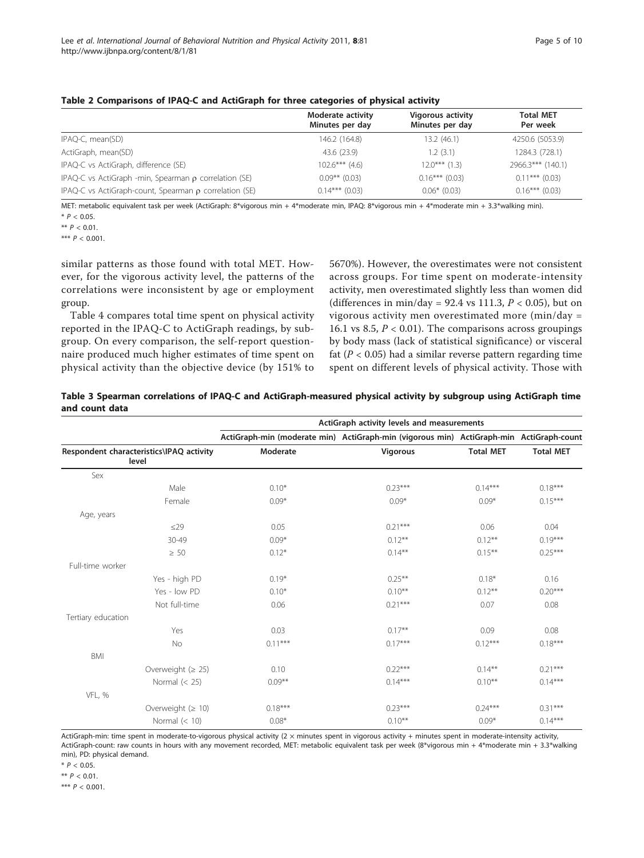|                                                             | Moderate activity<br>Minutes per day | <b>Vigorous activity</b><br>Minutes per day | <b>Total MET</b><br>Per week |
|-------------------------------------------------------------|--------------------------------------|---------------------------------------------|------------------------------|
| IPAQ-C, mean(SD)                                            | 146.2 (164.8)                        | 13.2(46.1)                                  | 4250.6 (5053.9)              |
| ActiGraph, mean(SD)                                         | 43.6 (23.9)                          | 1.2(3.1)                                    | 1284.3 (728.1)               |
| IPAQ-C vs ActiGraph, difference (SE)                        | $102.6***$ (4.6)                     | $12.0***$ (1.3)                             | 2966.3*** (140.1)            |
| IPAQ-C vs ActiGraph -min, Spearman $\rho$ correlation (SE)  | $0.09***$ (0.03)                     | $0.16***$ (0.03)                            | $0.11***$ (0.03)             |
| IPAQ-C vs ActiGraph-count, Spearman $\rho$ correlation (SE) | $0.14***$ (0.03)                     | $0.06*$ (0.03)                              | $0.16***$ (0.03)             |

#### <span id="page-4-0"></span>Table 2 Comparisons of IPAQ-C and ActiGraph for three categories of physical activity

MET: metabolic equivalent task per week (ActiGraph: 8\*vigorous min + 4\*moderate min, IPAQ: 8\*vigorous min + 4\*moderate min + 3.3\*walking min).  $*$  P < 0.05.

\*\*  $P < 0.01$ .

\*\*\*  $P < 0.001$ .

similar patterns as those found with total MET. However, for the vigorous activity level, the patterns of the correlations were inconsistent by age or employment group.

Table [4](#page-5-0) compares total time spent on physical activity reported in the IPAQ-C to ActiGraph readings, by subgroup. On every comparison, the self-report questionnaire produced much higher estimates of time spent on physical activity than the objective device (by 151% to

5670%). However, the overestimates were not consistent across groups. For time spent on moderate-intensity activity, men overestimated slightly less than women did (differences in min/day = 92.4 vs 111.3,  $P < 0.05$ ), but on vigorous activity men overestimated more (min/day = 16.1 vs 8.5,  $P < 0.01$ ). The comparisons across groupings by body mass (lack of statistical significance) or visceral fat ( $P < 0.05$ ) had a similar reverse pattern regarding time spent on different levels of physical activity. Those with

|                | Table 3 Spearman correlations of IPAQ-C and ActiGraph-measured physical activity by subgroup using ActiGraph time |  |  |  |  |
|----------------|-------------------------------------------------------------------------------------------------------------------|--|--|--|--|
| and count data |                                                                                                                   |  |  |  |  |

|                                                   | ActiGraph activity levels and measurements |                                                                                         |                  |                  |  |  |
|---------------------------------------------------|--------------------------------------------|-----------------------------------------------------------------------------------------|------------------|------------------|--|--|
|                                                   |                                            | ActiGraph-min (moderate min) ActiGraph-min (vigorous min) ActiGraph-min ActiGraph-count |                  |                  |  |  |
| Respondent characteristics\IPAQ activity<br>level | Moderate                                   | <b>Vigorous</b>                                                                         | <b>Total MET</b> | <b>Total MET</b> |  |  |
| Sex                                               |                                            |                                                                                         |                  |                  |  |  |
| Male                                              | $0.10*$                                    | $0.23***$                                                                               | $0.14***$        | $0.18***$        |  |  |
| Female                                            | $0.09*$                                    | $0.09*$                                                                                 | $0.09*$          | $0.15***$        |  |  |
| Age, years                                        |                                            |                                                                                         |                  |                  |  |  |
| $\leq$ 29                                         | 0.05                                       | $0.21***$                                                                               | 0.06             | 0.04             |  |  |
| 30-49                                             | $0.09*$                                    | $0.12***$                                                                               | $0.12***$        | $0.19***$        |  |  |
| $\geq 50$                                         | $0.12*$                                    | $0.14***$                                                                               | $0.15***$        | $0.25***$        |  |  |
| Full-time worker                                  |                                            |                                                                                         |                  |                  |  |  |
| Yes - high PD                                     | $0.19*$                                    | $0.25***$                                                                               | $0.18*$          | 0.16             |  |  |
| Yes - low PD                                      | $0.10*$                                    | $0.10***$                                                                               | $0.12***$        | $0.20***$        |  |  |
| Not full-time                                     | 0.06                                       | $0.21***$                                                                               | 0.07             | 0.08             |  |  |
| Tertiary education                                |                                            |                                                                                         |                  |                  |  |  |
| Yes                                               | 0.03                                       | $0.17***$                                                                               | 0.09             | 0.08             |  |  |
| No                                                | $0.11***$                                  | $0.17***$                                                                               | $0.12***$        | $0.18***$        |  |  |
| <b>BMI</b>                                        |                                            |                                                                                         |                  |                  |  |  |
| Overweight $( \geq 25)$                           | 0.10                                       | $0.22***$                                                                               | $0.14***$        | $0.21***$        |  |  |
| Normal $(< 25)$                                   | $0.09***$                                  | $0.14***$                                                                               | $0.10***$        | $0.14***$        |  |  |
| VFL, %                                            |                                            |                                                                                         |                  |                  |  |  |
| Overweight $( \geq 10)$                           | $0.18***$                                  | $0.23***$                                                                               | $0.24***$        | $0.31***$        |  |  |
| Normal $(< 10)$                                   | $0.08*$                                    | $0.10***$                                                                               | $0.09*$          | $0.14***$        |  |  |

ActiGraph-min: time spent in moderate-to-vigorous physical activity (2 × minutes spent in vigorous activity + minutes spent in moderate-intensity activity, ActiGraph-count: raw counts in hours with any movement recorded, MET: metabolic equivalent task per week (8\*vigorous min + 4\*moderate min + 3.3\*walking min), PD: physical demand.

 $*$   $P < 0.05$ .

\*\*  $P < 0.01$ .

\*\*\*  $P < 0.001$ .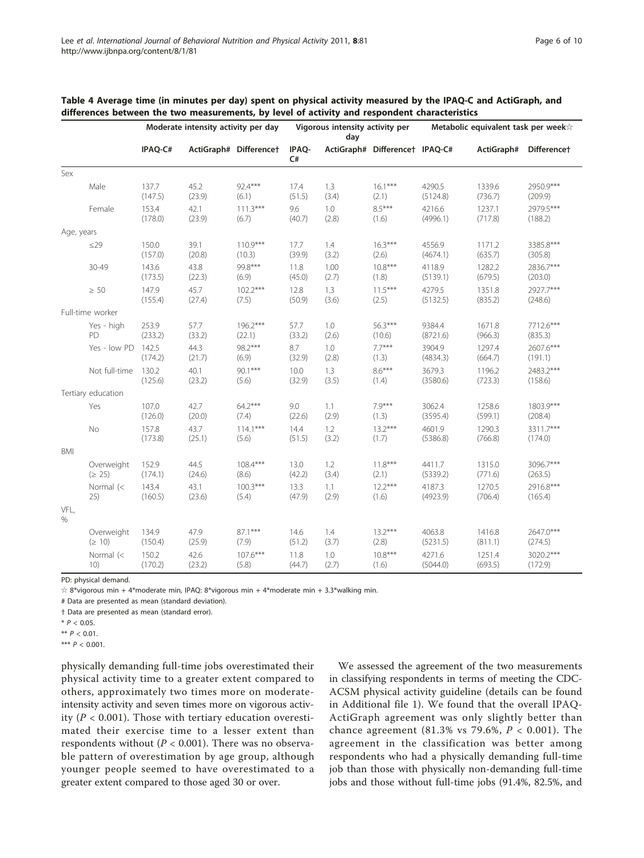|                  |                            | Moderate intensity activity per day |                |                        | Vigorous intensity activity per<br>day |               |                                | Metabolic equivalent task per week $\dot{\mathbb{X}}$ |                   |                      |
|------------------|----------------------------|-------------------------------------|----------------|------------------------|----------------------------------------|---------------|--------------------------------|-------------------------------------------------------|-------------------|----------------------|
|                  |                            | IPAQ-C#                             |                | ActiGraph# Differencet | IPAQ-<br>C#                            |               | ActiGraph# Difference† IPAQ-C# |                                                       | ActiGraph#        | Differencet          |
| Sex              |                            |                                     |                |                        |                                        |               |                                |                                                       |                   |                      |
|                  | Male                       | 137.7<br>(147.5)                    | 45.2<br>(23.9) | 92.4***<br>(6.1)       | 17.4<br>(51.5)                         | 1.3<br>(3.4)  | $16.1***$<br>(2.1)             | 4290.5<br>(5124.8)                                    | 1339.6<br>(736.7) | 2950.9***<br>(209.9) |
|                  | Female                     | 153.4<br>(178.0)                    | 42.1<br>(23.9) | $111.3***$<br>(6.7)    | 9.6<br>(40.7)                          | 1.0<br>(2.8)  | $8.5***$<br>(1.6)              | 4216.6<br>(4996.1)                                    | 1237.1<br>(717.8) | 2979.5***<br>(188.2) |
| Age, years       |                            |                                     |                |                        |                                        |               |                                |                                                       |                   |                      |
|                  | $\leq$ 29                  | 150.0<br>(157.0)                    | 39.1<br>(20.8) | $110.9***$<br>(10.3)   | 17.7<br>(39.9)                         | 1.4<br>(3.2)  | $16.3***$<br>(2.6)             | 4556.9<br>(4674.1)                                    | 1171.2<br>(635.7) | 3385.8***<br>(305.8) |
|                  | 30-49                      | 143.6<br>(173.5)                    | 43.8<br>(22.3) | 99.8***<br>(6.9)       | 11.8<br>(45.0)                         | 1.00<br>(2.7) | $10.8***$<br>(1.8)             | 4118.9<br>(5139.1)                                    | 1282.2<br>(679.5) | 2836.7***<br>(203.0) |
|                  | $\geq 50$                  | 147.9<br>(155.4)                    | 45.7<br>(27.4) | $102.2***$<br>(7.5)    | 12.8<br>(50.9)                         | 1.3<br>(3.6)  | $11.5***$<br>(2.5)             | 4279.5<br>(5132.5)                                    | 1351.8<br>(835.2) | 2927.7***<br>(248.6) |
| Full-time worker |                            |                                     |                |                        |                                        |               |                                |                                                       |                   |                      |
|                  | Yes - high<br>PD           | 253.9<br>(233.2)                    | 57.7<br>(33.2) | 196.2***<br>(22.1)     | 57.7<br>(33.2)                         | 1.0<br>(2.6)  | 56.3***<br>(10.6)              | 9384.4<br>(8721.6)                                    | 1671.8<br>(966.3) | 7712.6***<br>(835.3) |
|                  | Yes - low PD               | 142.5<br>(174.2)                    | 44.3<br>(21.7) | 98.2***<br>(6.9)       | 8.7<br>(32.9)                          | 1.0<br>(2.8)  | $7.7***$<br>(1.3)              | 3904.9<br>(4834.3)                                    | 1297.4<br>(664.7) | 2607.6***<br>(191.1) |
|                  | Not full-time              | 130.2<br>(125.6)                    | 40.1<br>(23.2) | $90.1***$<br>(5.6)     | 10.0<br>(32.9)                         | 1.3<br>(3.5)  | $8.6***$<br>(1.4)              | 3679.3<br>(3580.6)                                    | 1196.2<br>(723.3) | 2483.2***<br>(158.6) |
|                  | Tertiary education         |                                     |                |                        |                                        |               |                                |                                                       |                   |                      |
|                  | Yes                        | 107.0<br>(126.0)                    | 42.7<br>(20.0) | $64.2***$<br>(7.4)     | 9.0<br>(22.6)                          | 1.1<br>(2.9)  | $7.9***$<br>(1.3)              | 3062.4<br>(3595.4)                                    | 1258.6<br>(599.1) | 1803.9***<br>(208.4) |
|                  | No                         | 157.8<br>(173.8)                    | 43.7<br>(25.1) | $114.1***$<br>(5.6)    | 14.4<br>(51.5)                         | 1.2<br>(3.2)  | $13.2***$<br>(1.7)             | 4601.9<br>(5386.8)                                    | 1290.3<br>(766.8) | 3311.7***<br>(174.0) |
| <b>BMI</b>       |                            |                                     |                |                        |                                        |               |                                |                                                       |                   |                      |
|                  | Overweight<br>(2 25)       | 152.9<br>(174.1)                    | 44.5<br>(24.6) | $108.4***$<br>(8.6)    | 13.0<br>(42.2)                         | 1.2<br>(3.4)  | $11.8***$<br>(2.1)             | 4411.7<br>(5339.2)                                    | 1315.0<br>(771.6) | 3096.7***<br>(263.5) |
|                  | Normal $(<$<br>25)         | 143.4<br>(160.5)                    | 43.1<br>(23.6) | $100.3***$<br>(5.4)    | 13.3<br>(47.9)                         | 1.1<br>(2.9)  | $12.2***$<br>(1.6)             | 4187.3<br>(4923.9)                                    | 1270.5<br>(706.4) | 2916.8***<br>(165.4) |
| VFL,<br>$\%$     |                            |                                     |                |                        |                                        |               |                                |                                                       |                   |                      |
|                  | Overweight<br>$( \geq 10)$ | 134.9<br>(150.4)                    | 47.9<br>(25.9) | $87.1***$<br>(7.9)     | 14.6<br>(51.2)                         | 1.4<br>(3.7)  | $13.2***$<br>(2.8)             | 4063.8<br>(5231.5)                                    | 1416.8<br>(811.1) | 2647.0***<br>(274.5) |
|                  | Normal $(<$<br>10)         | 150.2<br>(170.2)                    | 42.6<br>(23.2) | $107.6***$<br>(5.8)    | 11.8<br>(44.7)                         | 1.0<br>(2.7)  | $10.8***$<br>(1.6)             | 4271.6<br>(5044.0)                                    | 1251.4<br>(693.5) | 3020.2***<br>(172.9) |

<span id="page-5-0"></span>Table 4 Average time (in minutes per day) spent on physical activity measured by the IPAQ-C and ActiGraph, and differences between the two measurements, by level of activity and respondent characteristics

PD: physical demand.

 $\frac{1}{\sqrt{2}}$  8\*vigorous min + 4\*moderate min, IPAQ: 8\*vigorous min + 4\*moderate min + 3.3\*walking min.

# Data are presented as mean (standard deviation).

† Data are presented as mean (standard error).

 $*$   $P < 0.05$ .

\*\*  $P < 0.01$ .

\*\*\*  $P < 0.001$ .

physically demanding full-time jobs overestimated their physical activity time to a greater extent compared to others, approximately two times more on moderateintensity activity and seven times more on vigorous activity ( $P < 0.001$ ). Those with tertiary education overestimated their exercise time to a lesser extent than respondents without ( $P < 0.001$ ). There was no observable pattern of overestimation by age group, although younger people seemed to have overestimated to a greater extent compared to those aged 30 or over.

We assessed the agreement of the two measurements in classifying respondents in terms of meeting the CDC-ACSM physical activity guideline (details can be found in Additional file [1](#page-8-0)). We found that the overall IPAQ-ActiGraph agreement was only slightly better than chance agreement (81.3% vs 79.6%,  $P < 0.001$ ). The agreement in the classification was better among respondents who had a physically demanding full-time job than those with physically non-demanding full-time jobs and those without full-time jobs (91.4%, 82.5%, and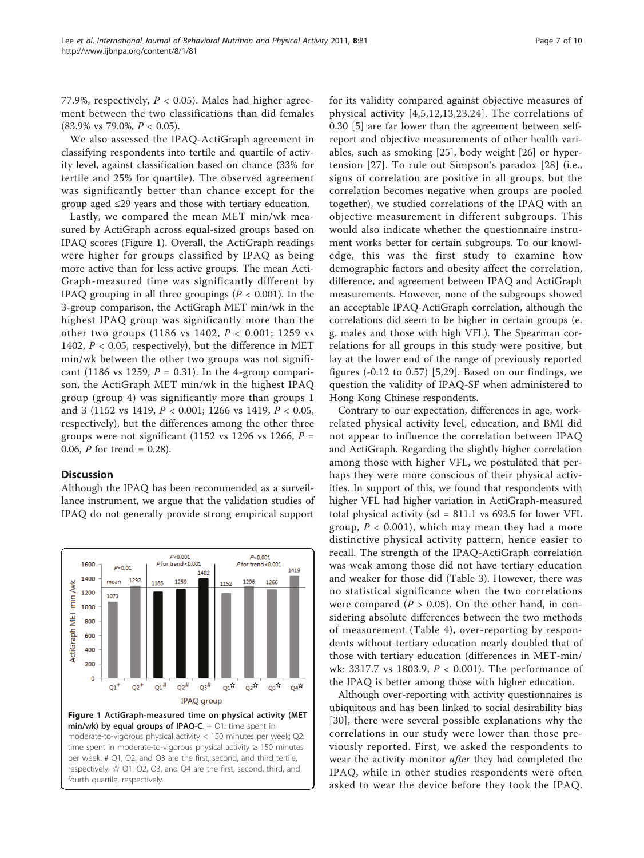77.9%, respectively,  $P < 0.05$ ). Males had higher agreement between the two classifications than did females  $(83.9\% \text{ vs } 79.0\%, P < 0.05).$ 

We also assessed the IPAQ-ActiGraph agreement in classifying respondents into tertile and quartile of activity level, against classification based on chance (33% for tertile and 25% for quartile). The observed agreement was significantly better than chance except for the group aged ≤29 years and those with tertiary education.

Lastly, we compared the mean MET min/wk measured by ActiGraph across equal-sized groups based on IPAQ scores (Figure 1). Overall, the ActiGraph readings were higher for groups classified by IPAQ as being more active than for less active groups. The mean Acti-Graph-measured time was significantly different by IPAQ grouping in all three groupings ( $P < 0.001$ ). In the 3-group comparison, the ActiGraph MET min/wk in the highest IPAQ group was significantly more than the other two groups (1186 vs 1402,  $P < 0.001$ ; 1259 vs 1402,  $P < 0.05$ , respectively), but the difference in MET min/wk between the other two groups was not significant (1186 vs 1259,  $P = 0.31$ ). In the 4-group comparison, the ActiGraph MET min/wk in the highest IPAQ group (group 4) was significantly more than groups 1 and 3 (1152 vs 1419,  $P < 0.001$ ; 1266 vs 1419,  $P < 0.05$ , respectively), but the differences among the other three groups were not significant (1152 vs 1296 vs 1266,  $P =$ 0.06, *P* for trend = 0.28).

#### **Discussion**

Although the IPAQ has been recommended as a surveillance instrument, we argue that the validation studies of IPAQ do not generally provide strong empirical support



for its validity compared against objective measures of physical activity [\[4,5](#page-8-0),[12,13,](#page-8-0)[23](#page-9-0),[24](#page-9-0)]. The correlations of 0.30 [[5\]](#page-8-0) are far lower than the agreement between selfreport and objective measurements of other health variables, such as smoking [[25\]](#page-9-0), body weight [[26\]](#page-9-0) or hypertension [[27](#page-9-0)]. To rule out Simpson's paradox [[28](#page-9-0)] (i.e., signs of correlation are positive in all groups, but the correlation becomes negative when groups are pooled together), we studied correlations of the IPAQ with an objective measurement in different subgroups. This would also indicate whether the questionnaire instrument works better for certain subgroups. To our knowledge, this was the first study to examine how demographic factors and obesity affect the correlation, difference, and agreement between IPAQ and ActiGraph measurements. However, none of the subgroups showed an acceptable IPAQ-ActiGraph correlation, although the correlations did seem to be higher in certain groups (e. g. males and those with high VFL). The Spearman correlations for all groups in this study were positive, but lay at the lower end of the range of previously reported figures (-0.12 to 0.57) [[5,](#page-8-0)[29](#page-9-0)]. Based on our findings, we question the validity of IPAQ-SF when administered to Hong Kong Chinese respondents.

Contrary to our expectation, differences in age, workrelated physical activity level, education, and BMI did not appear to influence the correlation between IPAQ and ActiGraph. Regarding the slightly higher correlation among those with higher VFL, we postulated that perhaps they were more conscious of their physical activities. In support of this, we found that respondents with higher VFL had higher variation in ActiGraph-measured total physical activity (sd = 811.1 vs 693.5 for lower VFL group,  $P < 0.001$ ), which may mean they had a more distinctive physical activity pattern, hence easier to recall. The strength of the IPAQ-ActiGraph correlation was weak among those did not have tertiary education and weaker for those did (Table [3\)](#page-4-0). However, there was no statistical significance when the two correlations were compared ( $P > 0.05$ ). On the other hand, in considering absolute differences between the two methods of measurement (Table [4\)](#page-5-0), over-reporting by respondents without tertiary education nearly doubled that of those with tertiary education (differences in MET-min/ wk: 3317.7 vs 1803.9,  $P < 0.001$ ). The performance of the IPAQ is better among those with higher education.

Although over-reporting with activity questionnaires is ubiquitous and has been linked to social desirability bias [[30](#page-9-0)], there were several possible explanations why the correlations in our study were lower than those previously reported. First, we asked the respondents to wear the activity monitor *after* they had completed the IPAQ, while in other studies respondents were often asked to wear the device before they took the IPAQ.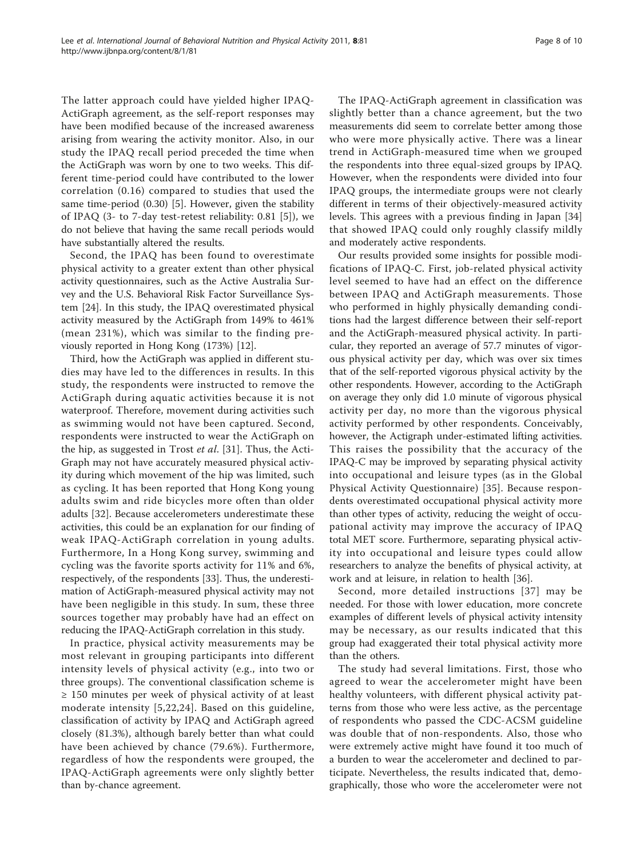The latter approach could have yielded higher IPAQ-ActiGraph agreement, as the self-report responses may have been modified because of the increased awareness arising from wearing the activity monitor. Also, in our study the IPAQ recall period preceded the time when the ActiGraph was worn by one to two weeks. This different time-period could have contributed to the lower correlation (0.16) compared to studies that used the same time-period (0.30) [\[5\]](#page-8-0). However, given the stability of IPAQ (3- to 7-day test-retest reliability: 0.81 [[5](#page-8-0)]), we do not believe that having the same recall periods would have substantially altered the results.

Second, the IPAQ has been found to overestimate physical activity to a greater extent than other physical activity questionnaires, such as the Active Australia Survey and the U.S. Behavioral Risk Factor Surveillance System [[24\]](#page-9-0). In this study, the IPAQ overestimated physical activity measured by the ActiGraph from 149% to 461% (mean 231%), which was similar to the finding previously reported in Hong Kong (173%) [\[12\]](#page-8-0).

Third, how the ActiGraph was applied in different studies may have led to the differences in results. In this study, the respondents were instructed to remove the ActiGraph during aquatic activities because it is not waterproof. Therefore, movement during activities such as swimming would not have been captured. Second, respondents were instructed to wear the ActiGraph on the hip, as suggested in Trost et al. [[31\]](#page-9-0). Thus, the Acti-Graph may not have accurately measured physical activity during which movement of the hip was limited, such as cycling. It has been reported that Hong Kong young adults swim and ride bicycles more often than older adults [[32\]](#page-9-0). Because accelerometers underestimate these activities, this could be an explanation for our finding of weak IPAQ-ActiGraph correlation in young adults. Furthermore, In a Hong Kong survey, swimming and cycling was the favorite sports activity for 11% and 6%, respectively, of the respondents [\[33\]](#page-9-0). Thus, the underestimation of ActiGraph-measured physical activity may not have been negligible in this study. In sum, these three sources together may probably have had an effect on reducing the IPAQ-ActiGraph correlation in this study.

In practice, physical activity measurements may be most relevant in grouping participants into different intensity levels of physical activity (e.g., into two or three groups). The conventional classification scheme is ≥ 150 minutes per week of physical activity of at least moderate intensity [[5,](#page-8-0)[22,24](#page-9-0)]. Based on this guideline, classification of activity by IPAQ and ActiGraph agreed closely (81.3%), although barely better than what could have been achieved by chance (79.6%). Furthermore, regardless of how the respondents were grouped, the IPAQ-ActiGraph agreements were only slightly better than by-chance agreement.

The IPAQ-ActiGraph agreement in classification was slightly better than a chance agreement, but the two measurements did seem to correlate better among those who were more physically active. There was a linear trend in ActiGraph-measured time when we grouped the respondents into three equal-sized groups by IPAQ. However, when the respondents were divided into four IPAQ groups, the intermediate groups were not clearly different in terms of their objectively-measured activity levels. This agrees with a previous finding in Japan [\[34](#page-9-0)] that showed IPAQ could only roughly classify mildly and moderately active respondents.

Our results provided some insights for possible modifications of IPAQ-C. First, job-related physical activity level seemed to have had an effect on the difference between IPAQ and ActiGraph measurements. Those who performed in highly physically demanding conditions had the largest difference between their self-report and the ActiGraph-measured physical activity. In particular, they reported an average of 57.7 minutes of vigorous physical activity per day, which was over six times that of the self-reported vigorous physical activity by the other respondents. However, according to the ActiGraph on average they only did 1.0 minute of vigorous physical activity per day, no more than the vigorous physical activity performed by other respondents. Conceivably, however, the Actigraph under-estimated lifting activities. This raises the possibility that the accuracy of the IPAQ-C may be improved by separating physical activity into occupational and leisure types (as in the Global Physical Activity Questionnaire) [[35\]](#page-9-0). Because respondents overestimated occupational physical activity more than other types of activity, reducing the weight of occupational activity may improve the accuracy of IPAQ total MET score. Furthermore, separating physical activity into occupational and leisure types could allow researchers to analyze the benefits of physical activity, at work and at leisure, in relation to health [[36\]](#page-9-0).

Second, more detailed instructions [[37](#page-9-0)] may be needed. For those with lower education, more concrete examples of different levels of physical activity intensity may be necessary, as our results indicated that this group had exaggerated their total physical activity more than the others.

The study had several limitations. First, those who agreed to wear the accelerometer might have been healthy volunteers, with different physical activity patterns from those who were less active, as the percentage of respondents who passed the CDC-ACSM guideline was double that of non-respondents. Also, those who were extremely active might have found it too much of a burden to wear the accelerometer and declined to participate. Nevertheless, the results indicated that, demographically, those who wore the accelerometer were not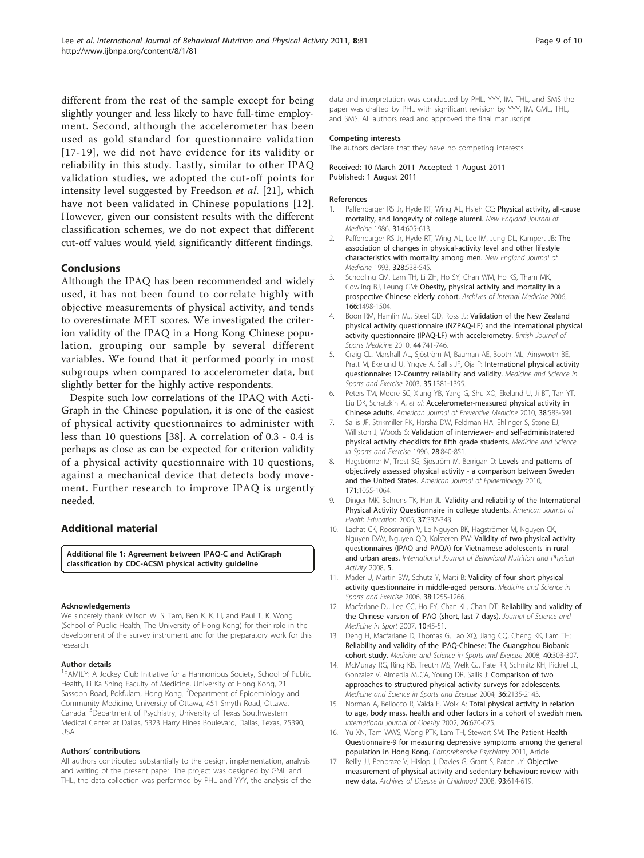<span id="page-8-0"></span>different from the rest of the sample except for being slightly younger and less likely to have full-time employment. Second, although the accelerometer has been used as gold standard for questionnaire validation [17-[19\]](#page-9-0), we did not have evidence for its validity or reliability in this study. Lastly, similar to other IPAQ validation studies, we adopted the cut-off points for intensity level suggested by Freedson et al. [\[21](#page-9-0)], which have not been validated in Chinese populations [12]. However, given our consistent results with the different classification schemes, we do not expect that different cut-off values would yield significantly different findings.

#### Conclusions

Although the IPAQ has been recommended and widely used, it has not been found to correlate highly with objective measurements of physical activity, and tends to overestimate MET scores. We investigated the criterion validity of the IPAQ in a Hong Kong Chinese population, grouping our sample by several different variables. We found that it performed poorly in most subgroups when compared to accelerometer data, but slightly better for the highly active respondents.

Despite such low correlations of the IPAQ with Acti-Graph in the Chinese population, it is one of the easiest of physical activity questionnaires to administer with less than 10 questions [\[38](#page-9-0)]. A correlation of 0.3 - 0.4 is perhaps as close as can be expected for criterion validity of a physical activity questionnaire with 10 questions, against a mechanical device that detects body movement. Further research to improve IPAQ is urgently needed.

# Additional material

[Additional file 1: A](http://www.biomedcentral.com/content/supplementary/1479-5868-8-81-S1.DOC)greement between IPAQ-C and ActiGraph classification by CDC-ACSM physical activity guideline

#### Acknowledgements

We sincerely thank Wilson W. S. Tam, Ben K. K. Li, and Paul T. K. Wong (School of Public Health, The University of Hong Kong) for their role in the development of the survey instrument and for the preparatory work for this research.

#### Author details

<sup>1</sup> FAMILY: A Jockey Club Initiative for a Harmonious Society, School of Public Health, Li Ka Shing Faculty of Medicine, University of Hong Kong, 21 Sassoon Road, Pokfulam, Hong Kong. <sup>2</sup>Department of Epidemiology and Community Medicine, University of Ottawa, 451 Smyth Road, Ottawa, Canada. <sup>3</sup>Department of Psychiatry, University of Texas Southwestern Medical Center at Dallas, 5323 Harry Hines Boulevard, Dallas, Texas, 75390, USA.

#### Authors' contributions

All authors contributed substantially to the design, implementation, analysis and writing of the present paper. The project was designed by GML and THL, the data collection was performed by PHL and YYY, the analysis of the data and interpretation was conducted by PHL, YYY, IM, THL, and SMS the paper was drafted by PHL with significant revision by YYY, IM, GML, THL, and SMS. All authors read and approved the final manuscript.

#### Competing interests

The authors declare that they have no competing interests.

#### Received: 10 March 2011 Accepted: 1 August 2011 Published: 1 August 2011

#### References

- 1. Paffenbarger RS Jr, Hyde RT, Wing AL, Hsieh CC: [Physical activity, all-cause](http://www.ncbi.nlm.nih.gov/pubmed/3945246?dopt=Abstract) [mortality, and longevity of college alumni.](http://www.ncbi.nlm.nih.gov/pubmed/3945246?dopt=Abstract) New England Journal of Medicine 1986, 314:605-613.
- 2. Paffenbarger RS Jr, Hyde RT, Wing AL, Lee IM, Jung DL, Kampert JB: [The](http://www.ncbi.nlm.nih.gov/pubmed/8426621?dopt=Abstract) [association of changes in physical-activity level and other lifestyle](http://www.ncbi.nlm.nih.gov/pubmed/8426621?dopt=Abstract) [characteristics with mortality among men.](http://www.ncbi.nlm.nih.gov/pubmed/8426621?dopt=Abstract) New England Journal of Medicine 1993, 328:538-545.
- Schooling CM, Lam TH, Li ZH, Ho SY, Chan WM, Ho KS, Tham MK, Cowling BJ, Leung GM: [Obesity, physical activity and mortality in a](http://www.ncbi.nlm.nih.gov/pubmed/16864760?dopt=Abstract) [prospective Chinese elderly cohort.](http://www.ncbi.nlm.nih.gov/pubmed/16864760?dopt=Abstract) Archives of Internal Medicine 2006, 166:1498-1504.
- 4. Boon RM, Hamlin MJ, Steel GD, Ross JJ: [Validation of the New Zealand](http://www.ncbi.nlm.nih.gov/pubmed/18981036?dopt=Abstract) [physical activity questionnaire \(NZPAQ-LF\) and the international physical](http://www.ncbi.nlm.nih.gov/pubmed/18981036?dopt=Abstract) [activity questionnaire \(IPAQ-LF\) with accelerometry.](http://www.ncbi.nlm.nih.gov/pubmed/18981036?dopt=Abstract) British Journal of Sports Medicine 2010, 44:741-746.
- 5. Craig CL, Marshall AL, Sjöström M, Bauman AE, Booth ML, Ainsworth BE, Pratt M, Ekelund U, Yngve A, Sallis JF, Oja P: [International physical activity](http://www.ncbi.nlm.nih.gov/pubmed/12900694?dopt=Abstract) [questionnaire: 12-Country reliability and validity.](http://www.ncbi.nlm.nih.gov/pubmed/12900694?dopt=Abstract) Medicine and Science in Sports and Exercise 2003, 35:1381-1395.
- Peters TM, Moore SC, Xiang YB, Yang G, Shu XO, Ekelund U, Ji BT, Tan YT, Liu DK, Schatzkin A, et al: [Accelerometer-measured physical activity in](http://www.ncbi.nlm.nih.gov/pubmed/20494234?dopt=Abstract) [Chinese adults.](http://www.ncbi.nlm.nih.gov/pubmed/20494234?dopt=Abstract) American Journal of Preventive Medicine 2010, 38:583-591.
- 7. Sallis JF, Strikmiller PK, Harsha DW, Feldman HA, Ehlinger S, Stone EJ, Williston J, Woods S: [Validation of interviewer- and self-administratered](http://www.ncbi.nlm.nih.gov/pubmed/8832538?dopt=Abstract) [physical activity checklists for fifth grade students.](http://www.ncbi.nlm.nih.gov/pubmed/8832538?dopt=Abstract) Medicine and Science in Sports and Exercise 1996, 28:840-851.
- Hagströmer M, Trost SG, Sjöström M, Berrigan D: [Levels and patterns of](http://www.ncbi.nlm.nih.gov/pubmed/20406758?dopt=Abstract) [objectively assessed physical activity - a comparison between Sweden](http://www.ncbi.nlm.nih.gov/pubmed/20406758?dopt=Abstract) [and the United States.](http://www.ncbi.nlm.nih.gov/pubmed/20406758?dopt=Abstract) American Journal of Epidemiology 2010. 171:1055-1064.
- 9. Dinger MK, Behrens TK, Han JL: Validity and reliability of the International Physical Activity Questionnaire in college students. American Journal of Health Education 2006, 37:337-343.
- 10. Lachat CK, Roosmarijn V, Le Nguyen BK, Hagströmer M, Nguyen CK, Nguyen DAV, Nguyen QD, Kolsteren PW: Validity of two physical activity questionnaires (IPAQ and PAQA) for Vietnamese adolescents in rural and urban areas. International Journal of Behavioral Nutrition and Physical Activity 2008, 5.
- 11. Mader U, Martin BW, Schutz Y, Marti B: [Validity of four short physical](http://www.ncbi.nlm.nih.gov/pubmed/16826022?dopt=Abstract) [activity questionnaire in middle-aged persons.](http://www.ncbi.nlm.nih.gov/pubmed/16826022?dopt=Abstract) Medicine and Science in Sports and Exercise 2006, 38:1255-1266.
- 12. Macfarlane DJ, Lee CC, Ho EY, Chan KL, Chan DT: [Reliability and validity of](http://www.ncbi.nlm.nih.gov/pubmed/16807105?dopt=Abstract) [the Chinese varsion of IPAQ \(short, last 7 days\).](http://www.ncbi.nlm.nih.gov/pubmed/16807105?dopt=Abstract) Journal of Science and Medicine in Sport 2007, 10:45-51.
- 13. Deng H, Macfarlane D, Thomas G, Lao XQ, Jiang CQ, Cheng KK, Lam TH: Reliability [and validity of the IPAQ-Chinese: The Guangzhou Biobank](http://www.ncbi.nlm.nih.gov/pubmed/18202571?dopt=Abstract) [cohort study.](http://www.ncbi.nlm.nih.gov/pubmed/18202571?dopt=Abstract) Medicine and Science in Sports and Exercise 2008, 40:303-307.
- 14. McMurray RG, Ring KB, Treuth MS, Welk GJ, Pate RR, Schmitz KH, Pickrel JL, Gonzalez V, Almedia MJCA, Young DR, Sallis J: [Comparison of two](http://www.ncbi.nlm.nih.gov/pubmed/15570151?dopt=Abstract) [approaches to structured physical activity surveys for adolescents.](http://www.ncbi.nlm.nih.gov/pubmed/15570151?dopt=Abstract) Medicine and Science in Sports and Exercise 2004, 36:2135-2143.
- 15. Norman A, Bellocco R, Vaida F, Wolk A: [Total physical activity in relation](http://www.ncbi.nlm.nih.gov/pubmed/12032752?dopt=Abstract) [to age, body mass, health and other factors in a cohort of swedish men.](http://www.ncbi.nlm.nih.gov/pubmed/12032752?dopt=Abstract) International Journal of Obesity 2002, 26:670-675.
- 16. Yu XN, Tam WWS, Wong PTK, Lam TH, Stewart SM: The Patient Health Questionnaire-9 for measuring depressive symptoms among the general population in Hong Kong. Comprehensive Psychiatry 2011, Article.
- 17. Reilly JJ, Penpraze V, Hislop J, Davies G, Grant S, Paton JY: [Objective](http://www.ncbi.nlm.nih.gov/pubmed/18305072?dopt=Abstract) [measurement of physical activity and sedentary behaviour: review with](http://www.ncbi.nlm.nih.gov/pubmed/18305072?dopt=Abstract) [new data.](http://www.ncbi.nlm.nih.gov/pubmed/18305072?dopt=Abstract) Archives of Disease in Childhood 2008, 93:614-619.